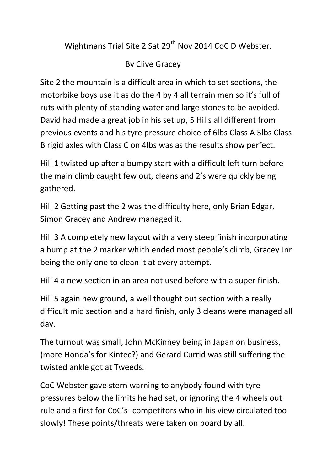Wightmans Trial Site 2 Sat 29<sup>th</sup> Nov 2014 CoC D Webster.

By Clive Gracey

Site 2 the mountain is a difficult area in which to set sections, the motorbike boys use it as do the 4 by 4 all terrain men so it's full of ruts with plenty of standing water and large stones to be avoided. David had made a great job in his set up, 5 Hills all different from previous events and his tyre pressure choice of 6lbs Class A 5lbs Class B rigid axles with Class C on 4lbs was as the results show perfect.

Hill 1 twisted up after a bumpy start with a difficult left turn before the main climb caught few out, cleans and 2's were quickly being gathered.

Hill 2 Getting past the 2 was the difficulty here, only Brian Edgar, Simon Gracey and Andrew managed it.

Hill 3 A completely new layout with a very steep finish incorporating a hump at the 2 marker which ended most people's climb, Gracey Jnr being the only one to clean it at every attempt.

Hill 4 a new section in an area not used before with a super finish.

Hill 5 again new ground, a well thought out section with a really difficult mid section and a hard finish, only 3 cleans were managed all day.

The turnout was small, John McKinney being in Japan on business, (more Honda's for Kintec?) and Gerard Currid was still suffering the twisted ankle got at Tweeds.

CoC Webster gave stern warning to anybody found with tyre pressures below the limits he had set, or ignoring the 4 wheels out rule and a first for CoC's- competitors who in his view circulated too slowly! These points/threats were taken on board by all.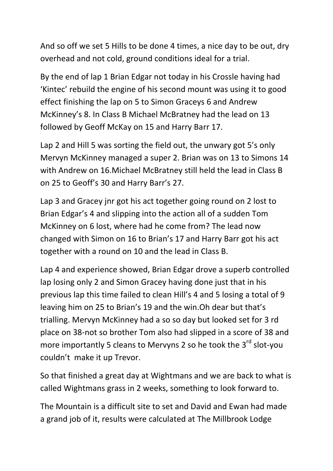And so off we set 5 Hills to be done 4 times, a nice day to be out, dry overhead and not cold, ground conditions ideal for a trial.

By the end of lap 1 Brian Edgar not today in his Crossle having had 'Kintec' rebuild the engine of his second mount was using it to good effect finishing the lap on 5 to Simon Graceys 6 and Andrew McKinney's 8. In Class B Michael McBratney had the lead on 13 followed by Geoff McKay on 15 and Harry Barr 17.

Lap 2 and Hill 5 was sorting the field out, the unwary got 5's only Mervyn McKinney managed a super 2. Brian was on 13 to Simons 14 with Andrew on 16.Michael McBratney still held the lead in Class B on 25 to Geoff's 30 and Harry Barr's 27.

Lap 3 and Gracey jnr got his act together going round on 2 lost to Brian Edgar's 4 and slipping into the action all of a sudden Tom McKinney on 6 lost, where had he come from? The lead now changed with Simon on 16 to Brian's 17 and Harry Barr got his act together with a round on 10 and the lead in Class B.

Lap 4 and experience showed, Brian Edgar drove a superb controlled lap losing only 2 and Simon Gracey having done just that in his previous lap this time failed to clean Hill's 4 and 5 losing a total of 9 leaving him on 25 to Brian's 19 and the win.Oh dear but that's trialling. Mervyn McKinney had a so so day but looked set for 3 rd place on 38-not so brother Tom also had slipped in a score of 38 and more importantly 5 cleans to Mervyns 2 so he took the  $3^{rd}$  slot-you couldn't make it up Trevor.

So that finished a great day at Wightmans and we are back to what is called Wightmans grass in 2 weeks, something to look forward to.

The Mountain is a difficult site to set and David and Ewan had made a grand job of it, results were calculated at The Millbrook Lodge